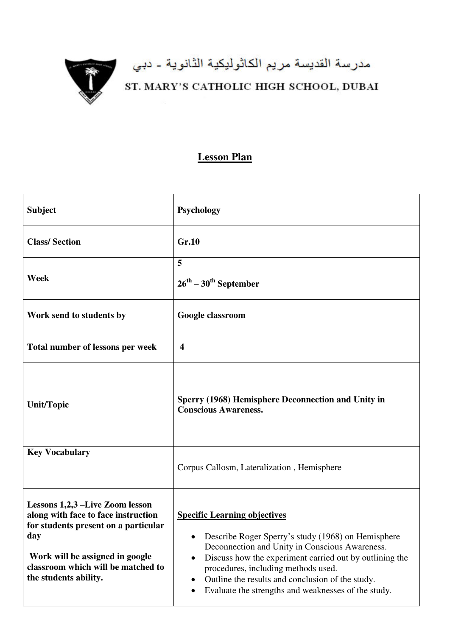

## مدرسة القديسة مريم الكاثوليكية الثانوية ـ دبي<br>ST. MARY'S CATHOLIC HIGH SCHOOL, DUBAI

## **Lesson Plan**

| <b>Subject</b>                   | Psychology                                                                        |
|----------------------------------|-----------------------------------------------------------------------------------|
| <b>Class/Section</b>             | Gr.10                                                                             |
| Week                             | 5<br>$26^{\text{th}} - 30^{\text{th}}$ September                                  |
| Work send to students by         | Google classroom                                                                  |
| Total number of lessons per week | $\boldsymbol{4}$                                                                  |
| <b>Unit/Topic</b>                | Sperry (1968) Hemisphere Deconnection and Unity in<br><b>Conscious Awareness.</b> |
|                                  |                                                                                   |
| <b>Key Vocabulary</b>            | Corpus Callosm, Lateralization, Hemisphere                                        |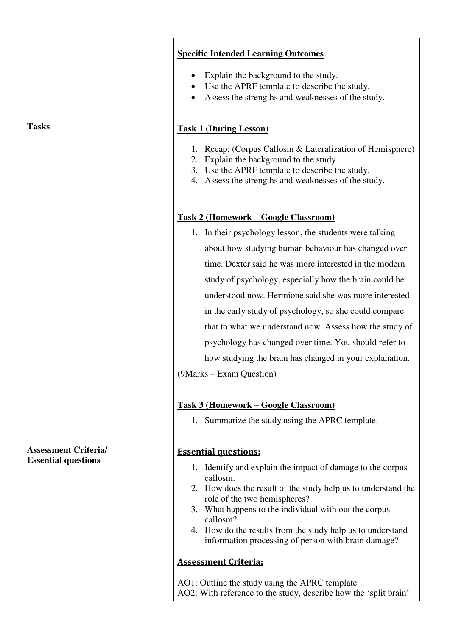|                             | <b>Specific Intended Learning Outcomes</b>                                                                                                                                                                   |
|-----------------------------|--------------------------------------------------------------------------------------------------------------------------------------------------------------------------------------------------------------|
|                             | Explain the background to the study.<br>Use the APRF template to describe the study.<br>Assess the strengths and weaknesses of the study.                                                                    |
| <b>Tasks</b>                | <b>Task 1 (During Lesson)</b>                                                                                                                                                                                |
|                             | Recap: (Corpus Callosm & Lateralization of Hemisphere)<br>2. Explain the background to the study.<br>3. Use the APRF template to describe the study.<br>4. Assess the strengths and weaknesses of the study. |
|                             | <b>Task 2 (Homework - Google Classroom)</b>                                                                                                                                                                  |
|                             | 1. In their psychology lesson, the students were talking                                                                                                                                                     |
|                             | about how studying human behaviour has changed over                                                                                                                                                          |
|                             | time. Dexter said he was more interested in the modern                                                                                                                                                       |
|                             | study of psychology, especially how the brain could be                                                                                                                                                       |
|                             | understood now. Hermione said she was more interested                                                                                                                                                        |
|                             | in the early study of psychology, so she could compare                                                                                                                                                       |
|                             | that to what we understand now. Assess how the study of                                                                                                                                                      |
|                             | psychology has changed over time. You should refer to                                                                                                                                                        |
|                             | how studying the brain has changed in your explanation.                                                                                                                                                      |
|                             | (9Marks – Exam Question)                                                                                                                                                                                     |
|                             | <b>Task 3 (Homework - Google Classroom)</b>                                                                                                                                                                  |
|                             | 1. Summarize the study using the APRC template.                                                                                                                                                              |
| <b>Assessment Criteria/</b> | <b>Essential questions:</b>                                                                                                                                                                                  |
| <b>Essential questions</b>  | 1. Identify and explain the impact of damage to the corpus                                                                                                                                                   |
|                             | callosm.<br>2. How does the result of the study help us to understand the                                                                                                                                    |
|                             | role of the two hemispheres?                                                                                                                                                                                 |
|                             | 3. What happens to the individual with out the corpus<br>callosm?                                                                                                                                            |
|                             | 4. How do the results from the study help us to understand<br>information processing of person with brain damage?                                                                                            |
|                             | <b>Assessment Criteria:</b>                                                                                                                                                                                  |
|                             | AO1: Outline the study using the APRC template<br>AO2: With reference to the study, describe how the 'split brain'                                                                                           |

 $\overline{1}$